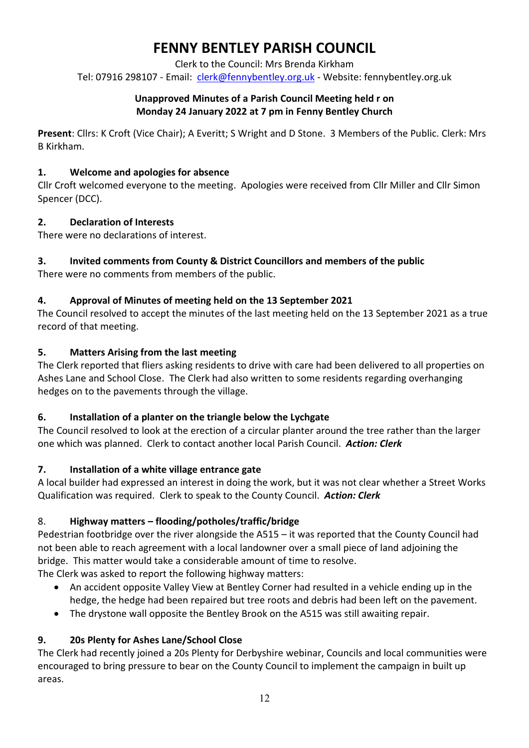# **FENNY BENTLEY PARISH COUNCIL**

Clerk to the Council: Mrs Brenda Kirkham

Tel: 07916 298107 - Email: [clerk@fennybentley.org.uk](mailto:clerk@fennybentley.org.uk) - Website: fennybentley.org.uk

#### **Unapproved Minutes of a Parish Council Meeting held r on Monday 24 January 2022 at 7 pm in Fenny Bentley Church**

**Present**: Cllrs: K Croft (Vice Chair); A Everitt; S Wright and D Stone. 3 Members of the Public. Clerk: Mrs B Kirkham.

## **1. Welcome and apologies for absence**

Cllr Croft welcomed everyone to the meeting. Apologies were received from Cllr Miller and Cllr Simon Spencer (DCC).

# **2. Declaration of Interests**

There were no declarations of interest.

# **3. Invited comments from County & District Councillors and members of the public**

There were no comments from members of the public.

# **4. Approval of Minutes of meeting held on the 13 September 2021**

The Council resolved to accept the minutes of the last meeting held on the 13 September 2021 as a true record of that meeting.

# **5. Matters Arising from the last meeting**

The Clerk reported that fliers asking residents to drive with care had been delivered to all properties on Ashes Lane and School Close. The Clerk had also written to some residents regarding overhanging hedges on to the pavements through the village.

## **6. Installation of a planter on the triangle below the Lychgate**

The Council resolved to look at the erection of a circular planter around the tree rather than the larger one which was planned. Clerk to contact another local Parish Council. *Action: Clerk*

# **7. Installation of a white village entrance gate**

A local builder had expressed an interest in doing the work, but it was not clear whether a Street Works Qualification was required. Clerk to speak to the County Council. *Action: Clerk*

# 8. **Highway matters – flooding/potholes/traffic/bridge**

Pedestrian footbridge over the river alongside the A515 – it was reported that the County Council had not been able to reach agreement with a local landowner over a small piece of land adjoining the bridge. This matter would take a considerable amount of time to resolve. The Clerk was asked to report the following highway matters:

- An accident opposite Valley View at Bentley Corner had resulted in a vehicle ending up in the hedge, the hedge had been repaired but tree roots and debris had been left on the pavement.
- The drystone wall opposite the Bentley Brook on the A515 was still awaiting repair.

# **9. 20s Plenty for Ashes Lane/School Close**

The Clerk had recently joined a 20s Plenty for Derbyshire webinar, Councils and local communities were encouraged to bring pressure to bear on the County Council to implement the campaign in built up areas.